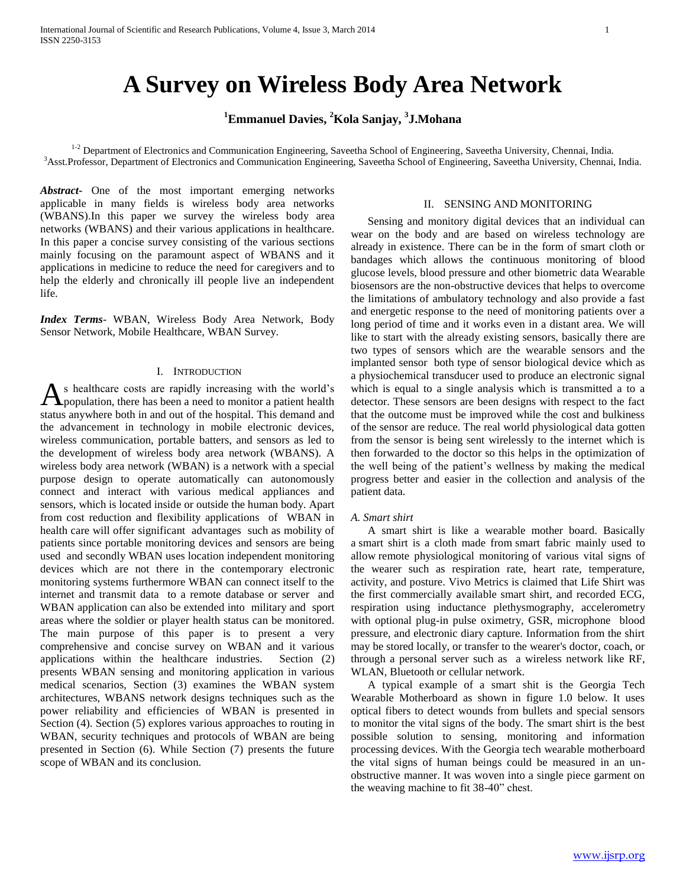# **A Survey on Wireless Body Area Network**

**<sup>1</sup>Emmanuel Davies, <sup>2</sup>Kola Sanjay, <sup>3</sup> J.Mohana**

<sup>1-2</sup> Department of Electronics and Communication Engineering, Saveetha School of Engineering, Saveetha University, Chennai, India. <sup>3</sup>Asst.Professor, Department of Electronics and Communication Engineering, Saveetha School of Engineering, Saveetha University, Chennai, India.

*Abstract***-** One of the most important emerging networks applicable in many fields is wireless body area networks (WBANS).In this paper we survey the wireless body area networks (WBANS) and their various applications in healthcare. In this paper a concise survey consisting of the various sections mainly focusing on the paramount aspect of WBANS and it applications in medicine to reduce the need for caregivers and to help the elderly and chronically ill people live an independent life.

*Index Terms*- WBAN, Wireless Body Area Network, Body Sensor Network, Mobile Healthcare, WBAN Survey.

# I. INTRODUCTION

s healthcare costs are rapidly increasing with the world's As healthcare costs are rapidly increasing with the world's population, there has been a need to monitor a patient health status anywhere both in and out of the hospital. This demand and the advancement in technology in mobile electronic devices, wireless communication, portable batters, and sensors as led to the development of wireless body area network (WBANS). A wireless body area network (WBAN) is a network with a special purpose design to operate automatically can autonomously connect and interact with various medical appliances and sensors, which is located inside or outside the human body. Apart from cost reduction and flexibility applications of WBAN in health care will offer significant advantages such as mobility of patients since portable monitoring devices and sensors are being used and secondly WBAN uses location independent monitoring devices which are not there in the contemporary electronic monitoring systems furthermore WBAN can connect itself to the internet and transmit data to a remote database or server and WBAN application can also be extended into military and sport areas where the soldier or player health status can be monitored. The main purpose of this paper is to present a very comprehensive and concise survey on WBAN and it various applications within the healthcare industries. Section (2) presents WBAN sensing and monitoring application in various medical scenarios, Section (3) examines the WBAN system architectures, WBANS network designs techniques such as the power reliability and efficiencies of WBAN is presented in Section (4). Section (5) explores various approaches to routing in WBAN, security techniques and protocols of WBAN are being presented in Section (6). While Section (7) presents the future scope of WBAN and its conclusion.

# II. SENSING AND MONITORING

 Sensing and monitory digital devices that an individual can wear on the body and are based on wireless technology are already in existence. There can be in the form of smart cloth or bandages which allows the continuous monitoring of blood glucose levels, blood pressure and other biometric data Wearable biosensors are the non-obstructive devices that helps to overcome the limitations of ambulatory technology and also provide a fast and energetic response to the need of monitoring patients over a long period of time and it works even in a distant area. We will like to start with the already existing sensors, basically there are two types of sensors which are the wearable sensors and the implanted sensor both type of sensor biological device which as a physiochemical transducer used to produce an electronic signal which is equal to a single analysis which is transmitted a to a detector. These sensors are been designs with respect to the fact that the outcome must be improved while the cost and bulkiness of the sensor are reduce. The real world physiological data gotten from the sensor is being sent wirelessly to the internet which is then forwarded to the doctor so this helps in the optimization of the well being of the patient's wellness by making the medical progress better and easier in the collection and analysis of the patient data.

## *A. Smart shirt*

 A smart shirt is like a wearable mother board. Basically a smart shirt is a cloth made from smart fabric mainly used to allow remote physiological monitoring of various vital signs of the wearer such as respiration rate, heart rate, temperature, activity, and posture. Vivo Metrics is claimed that Life Shirt was the first commercially available smart shirt, and recorded ECG, respiration using inductance plethysmography, accelerometry with optional plug-in pulse oximetry, GSR, microphone blood pressure, and electronic diary capture. Information from the shirt may be stored locally, or transfer to the wearer's doctor, coach, or through a personal server such as a wireless network like RF, WLAN, Bluetooth or cellular network.

 A typical example of a smart shit is the Georgia Tech Wearable Motherboard as shown in figure 1.0 below. It uses optical fibers to detect wounds from bullets and special sensors to monitor the vital signs of the body. The smart shirt is the best possible solution to sensing, monitoring and information processing devices. With the Georgia tech wearable motherboard the vital signs of human beings could be measured in an unobstructive manner. It was woven into a single piece garment on the weaving machine to fit 38-40" chest.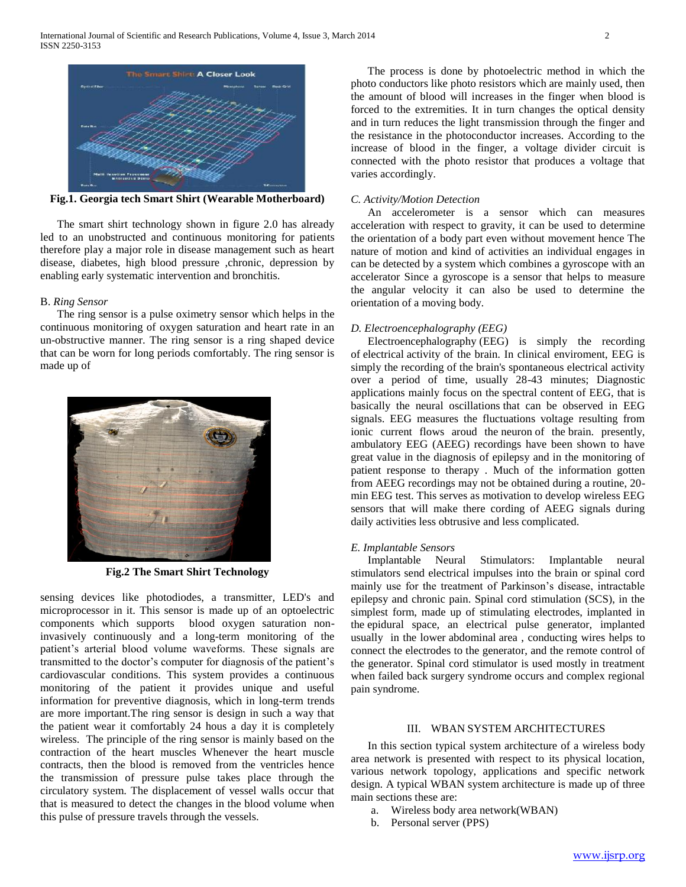

**Fig.1. Georgia tech Smart Shirt (Wearable Motherboard)**

 The smart shirt technology shown in figure 2.0 has already led to an unobstructed and continuous monitoring for patients therefore play a major role in disease management such as heart disease, diabetes, high blood pressure ,chronic, depression by enabling early systematic intervention and bronchitis.

# B. *Ring Sensor*

 The ring sensor is a pulse oximetry sensor which helps in the continuous monitoring of oxygen saturation and heart rate in an un-obstructive manner. The ring sensor is a ring shaped device that can be worn for long periods comfortably. The ring sensor is made up of



**Fig.2 The Smart Shirt Technology**

sensing devices like photodiodes, a transmitter, LED's and microprocessor in it. This sensor is made up of an optoelectric components which supports blood oxygen saturation noninvasively continuously and a long-term monitoring of the patient's arterial blood volume waveforms. These signals are transmitted to the doctor's computer for diagnosis of the patient's cardiovascular conditions. This system provides a continuous monitoring of the patient it provides unique and useful information for preventive diagnosis, which in long-term trends are more important.The ring sensor is design in such a way that the patient wear it comfortably 24 hous a day it is completely wireless. The principle of the ring sensor is mainly based on the contraction of the heart muscles Whenever the heart muscle contracts, then the blood is removed from the ventricles hence the transmission of pressure pulse takes place through the circulatory system. The displacement of vessel walls occur that that is measured to detect the changes in the blood volume when this pulse of pressure travels through the vessels.

 The process is done by photoelectric method in which the photo conductors like photo resistors which are mainly used, then the amount of blood will increases in the finger when blood is forced to the extremities. It in turn changes the optical density and in turn reduces the light transmission through the finger and the resistance in the photoconductor increases. According to the increase of blood in the finger, a voltage divider circuit is connected with the photo resistor that produces a voltage that varies accordingly.

# *C. Activity/Motion Detection*

 An accelerometer is a sensor which can measures acceleration with respect to gravity, it can be used to determine the orientation of a body part even without movement hence The nature of motion and kind of activities an individual engages in can be detected by a system which combines a gyroscope with an accelerator Since a gyroscope is a sensor that helps to measure the angular velocity it can also be used to determine the orientation of a moving body.

## *D. Electroencephalography (EEG)*

 Electroencephalography (EEG) is simply the recording of electrical activity of the brain. In clinical enviroment, EEG is simply the recording of the brain's spontaneous electrical activity over a period of time, usually 28-43 minutes; Diagnostic applications mainly focus on the spectral content of EEG, that is basically the neural oscillations that can be observed in EEG signals. EEG measures the fluctuations voltage resulting from ionic current flows aroud the neuron of the brain. presently, ambulatory EEG (AEEG) recordings have been shown to have great value in the diagnosis of epilepsy and in the monitoring of patient response to therapy . Much of the information gotten from AEEG recordings may not be obtained during a routine, 20 min EEG test. This serves as motivation to develop wireless EEG sensors that will make there cording of AEEG signals during daily activities less obtrusive and less complicated.

#### *E. Implantable Sensors*

 Implantable Neural Stimulators: Implantable neural stimulators send electrical impulses into the brain or spinal cord mainly use for the treatment of Parkinson's disease, intractable epilepsy and chronic pain. Spinal cord stimulation (SCS), in the simplest form, made up of stimulating electrodes, implanted in the epidural space, an electrical pulse generator, implanted usually in the lower abdominal area , conducting wires helps to connect the electrodes to the generator, and the remote control of the generator. Spinal cord stimulator is used mostly in treatment when failed back surgery syndrome occurs and complex regional pain syndrome.

# III. WBAN SYSTEM ARCHITECTURES

 In this section typical system architecture of a wireless body area network is presented with respect to its physical location, various network topology, applications and specific network design. A typical WBAN system architecture is made up of three main sections these are:

- a. Wireless body area network(WBAN)
- b. Personal server (PPS)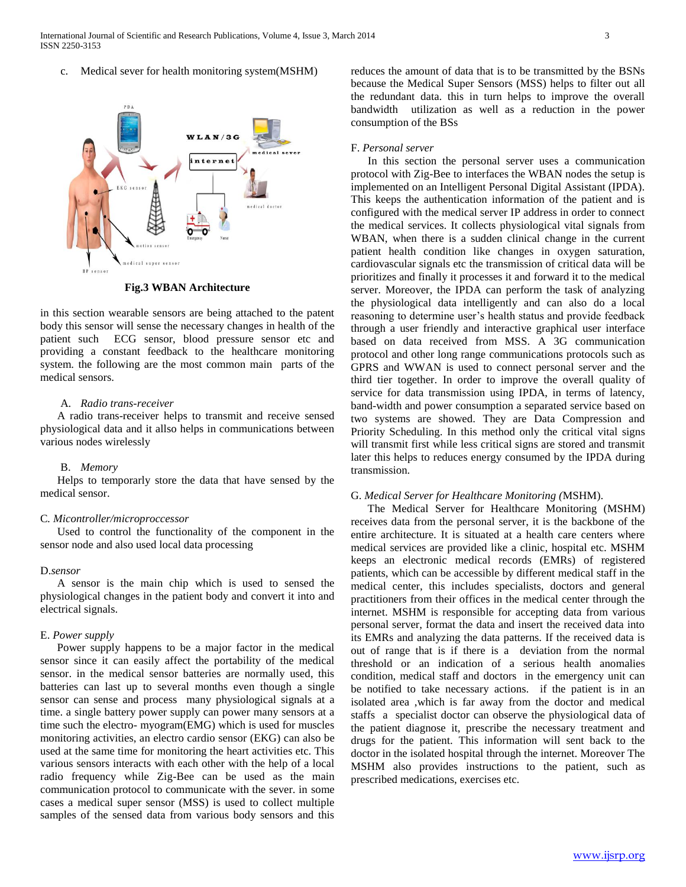c. Medical sever for health monitoring system(MSHM)



**Fig.3 WBAN Architecture**

in this section wearable sensors are being attached to the patent body this sensor will sense the necessary changes in health of the patient such ECG sensor, blood pressure sensor etc and providing a constant feedback to the healthcare monitoring system. the following are the most common main parts of the medical sensors.

# A. *Radio trans-receiver*

 A radio trans-receiver helps to transmit and receive sensed physiological data and it allso helps in communications between various nodes wirelessly

# B. *Memory*

 Helps to temporarly store the data that have sensed by the medical sensor.

# C*. Micontroller/microproccessor*

 Used to control the functionality of the component in the sensor node and also used local data processing

# D.*sensor*

 A sensor is the main chip which is used to sensed the physiological changes in the patient body and convert it into and electrical signals.

## E. *Power supply*

 Power supply happens to be a major factor in the medical sensor since it can easily affect the portability of the medical sensor. in the medical sensor batteries are normally used, this batteries can last up to several months even though a single sensor can sense and process many physiological signals at a time. a single battery power supply can power many sensors at a time such the electro- myogram(EMG) which is used for muscles monitoring activities, an electro cardio sensor (EKG) can also be used at the same time for monitoring the heart activities etc. This various sensors interacts with each other with the help of a local radio frequency while Zig-Bee can be used as the main communication protocol to communicate with the sever. in some cases a medical super sensor (MSS) is used to collect multiple samples of the sensed data from various body sensors and this reduces the amount of data that is to be transmitted by the BSNs because the Medical Super Sensors (MSS) helps to filter out all the redundant data. this in turn helps to improve the overall bandwidth utilization as well as a reduction in the power consumption of the BSs

# F. *Personal server*

 In this section the personal server uses a communication protocol with Zig-Bee to interfaces the WBAN nodes the setup is implemented on an Intelligent Personal Digital Assistant (IPDA). This keeps the authentication information of the patient and is configured with the medical server IP address in order to connect the medical services. It collects physiological vital signals from WBAN, when there is a sudden clinical change in the current patient health condition like changes in oxygen saturation, cardiovascular signals etc the transmission of critical data will be prioritizes and finally it processes it and forward it to the medical server. Moreover, the IPDA can perform the task of analyzing the physiological data intelligently and can also do a local reasoning to determine user's health status and provide feedback through a user friendly and interactive graphical user interface based on data received from MSS. A 3G communication protocol and other long range communications protocols such as GPRS and WWAN is used to connect personal server and the third tier together. In order to improve the overall quality of service for data transmission using IPDA, in terms of latency, band-width and power consumption a separated service based on two systems are showed. They are Data Compression and Priority Scheduling. In this method only the critical vital signs will transmit first while less critical signs are stored and transmit later this helps to reduces energy consumed by the IPDA during transmission.

# G. *Medical Server for Healthcare Monitoring (*MSHM).

 The Medical Server for Healthcare Monitoring (MSHM) receives data from the personal server, it is the backbone of the entire architecture. It is situated at a health care centers where medical services are provided like a clinic, hospital etc. MSHM keeps an electronic medical records (EMRs) of registered patients, which can be accessible by different medical staff in the medical center, this includes specialists, doctors and general practitioners from their offices in the medical center through the internet. MSHM is responsible for accepting data from various personal server, format the data and insert the received data into its EMRs and analyzing the data patterns. If the received data is out of range that is if there is a deviation from the normal threshold or an indication of a serious health anomalies condition, medical staff and doctors in the emergency unit can be notified to take necessary actions. if the patient is in an isolated area ,which is far away from the doctor and medical staffs a specialist doctor can observe the physiological data of the patient diagnose it, prescribe the necessary treatment and drugs for the patient. This information will sent back to the doctor in the isolated hospital through the internet. Moreover The MSHM also provides instructions to the patient, such as prescribed medications, exercises etc.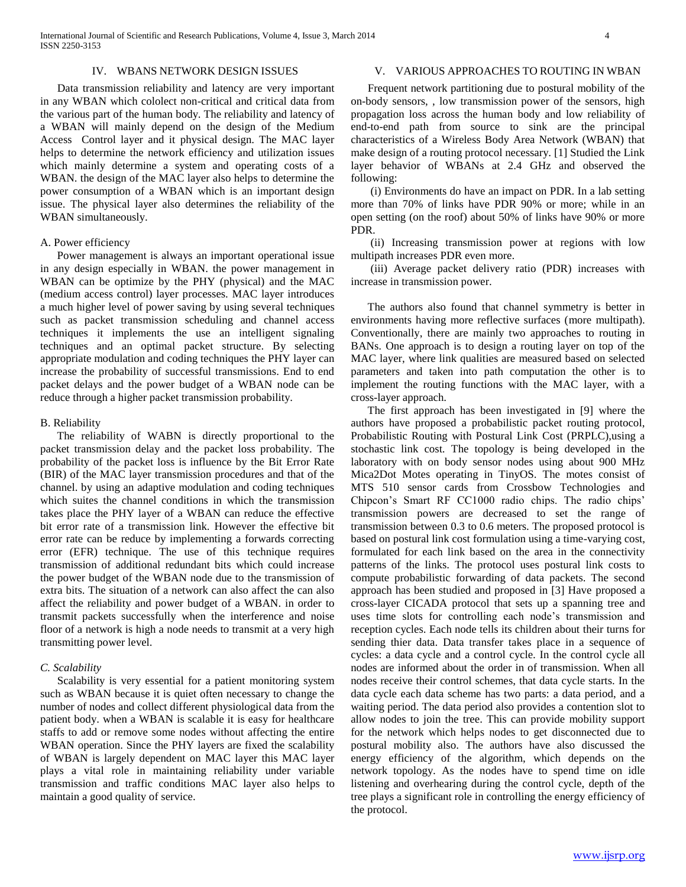International Journal of Scientific and Research Publications, Volume 4, Issue 3, March 2014 4 ISSN 2250-3153

# IV. WBANS NETWORK DESIGN ISSUES

 Data transmission reliability and latency are very important in any WBAN which cololect non-critical and critical data from the various part of the human body. The reliability and latency of a WBAN will mainly depend on the design of the Medium Access Control layer and it physical design. The MAC layer helps to determine the network efficiency and utilization issues which mainly determine a system and operating costs of a WBAN. the design of the MAC layer also helps to determine the power consumption of a WBAN which is an important design issue. The physical layer also determines the reliability of the WBAN simultaneously.

# A. Power efficiency

 Power management is always an important operational issue in any design especially in WBAN. the power management in WBAN can be optimize by the PHY (physical) and the MAC (medium access control) layer processes. MAC layer introduces a much higher level of power saving by using several techniques such as packet transmission scheduling and channel access techniques it implements the use an intelligent signaling techniques and an optimal packet structure. By selecting appropriate modulation and coding techniques the PHY layer can increase the probability of successful transmissions. End to end packet delays and the power budget of a WBAN node can be reduce through a higher packet transmission probability.

## B. Reliability

 The reliability of WABN is directly proportional to the packet transmission delay and the packet loss probability. The probability of the packet loss is influence by the Bit Error Rate (BIR) of the MAC layer transmission procedures and that of the channel. by using an adaptive modulation and coding techniques which suites the channel conditions in which the transmission takes place the PHY layer of a WBAN can reduce the effective bit error rate of a transmission link. However the effective bit error rate can be reduce by implementing a forwards correcting error (EFR) technique. The use of this technique requires transmission of additional redundant bits which could increase the power budget of the WBAN node due to the transmission of extra bits. The situation of a network can also affect the can also affect the reliability and power budget of a WBAN. in order to transmit packets successfully when the interference and noise floor of a network is high a node needs to transmit at a very high transmitting power level.

## *C. Scalability*

 Scalability is very essential for a patient monitoring system such as WBAN because it is quiet often necessary to change the number of nodes and collect different physiological data from the patient body. when a WBAN is scalable it is easy for healthcare staffs to add or remove some nodes without affecting the entire WBAN operation. Since the PHY layers are fixed the scalability of WBAN is largely dependent on MAC layer this MAC layer plays a vital role in maintaining reliability under variable transmission and traffic conditions MAC layer also helps to maintain a good quality of service.

# V. VARIOUS APPROACHES TO ROUTING IN WBAN

 Frequent network partitioning due to postural mobility of the on-body sensors, , low transmission power of the sensors, high propagation loss across the human body and low reliability of end-to-end path from source to sink are the principal characteristics of a Wireless Body Area Network (WBAN) that make design of a routing protocol necessary. [1] Studied the Link layer behavior of WBANs at 2.4 GHz and observed the following:

 (i) Environments do have an impact on PDR. In a lab setting more than 70% of links have PDR 90% or more; while in an open setting (on the roof) about 50% of links have 90% or more PDR.

 (ii) Increasing transmission power at regions with low multipath increases PDR even more.

 (iii) Average packet delivery ratio (PDR) increases with increase in transmission power.

 The authors also found that channel symmetry is better in environments having more reflective surfaces (more multipath). Conventionally, there are mainly two approaches to routing in BANs. One approach is to design a routing layer on top of the MAC layer, where link qualities are measured based on selected parameters and taken into path computation the other is to implement the routing functions with the MAC layer, with a cross-layer approach.

 The first approach has been investigated in [9] where the authors have proposed a probabilistic packet routing protocol, Probabilistic Routing with Postural Link Cost (PRPLC),using a stochastic link cost. The topology is being developed in the laboratory with on body sensor nodes using about 900 MHz Mica2Dot Motes operating in TinyOS. The motes consist of MTS 510 sensor cards from Crossbow Technologies and Chipcon's Smart RF CC1000 radio chips. The radio chips' transmission powers are decreased to set the range of transmission between 0.3 to 0.6 meters. The proposed protocol is based on postural link cost formulation using a time-varying cost, formulated for each link based on the area in the connectivity patterns of the links. The protocol uses postural link costs to compute probabilistic forwarding of data packets. The second approach has been studied and proposed in [3] Have proposed a cross-layer CICADA protocol that sets up a spanning tree and uses time slots for controlling each node's transmission and reception cycles. Each node tells its children about their turns for sending thier data. Data transfer takes place in a sequence of cycles: a data cycle and a control cycle. In the control cycle all nodes are informed about the order in of transmission. When all nodes receive their control schemes, that data cycle starts. In the data cycle each data scheme has two parts: a data period, and a waiting period. The data period also provides a contention slot to allow nodes to join the tree. This can provide mobility support for the network which helps nodes to get disconnected due to postural mobility also. The authors have also discussed the energy efficiency of the algorithm, which depends on the network topology. As the nodes have to spend time on idle listening and overhearing during the control cycle, depth of the tree plays a significant role in controlling the energy efficiency of the protocol.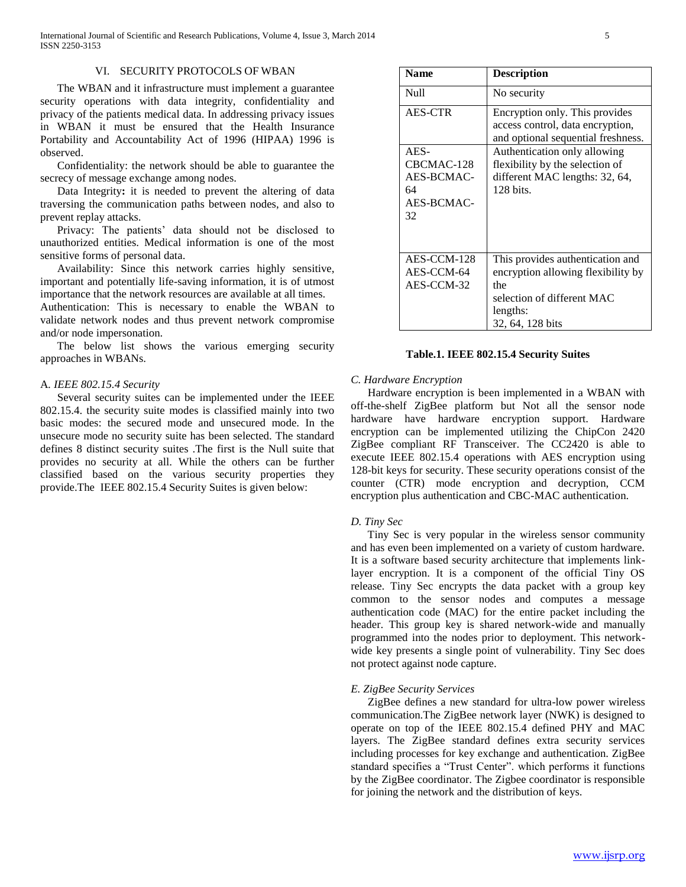International Journal of Scientific and Research Publications, Volume 4, Issue 3, March 2014 5 ISSN 2250-3153

# VI. SECURITY PROTOCOLS OF WBAN

 The WBAN and it infrastructure must implement a guarantee security operations with data integrity, confidentiality and privacy of the patients medical data. In addressing privacy issues in WBAN it must be ensured that the Health Insurance Portability and Accountability Act of 1996 (HIPAA) 1996 is observed.

 Confidentiality: the network should be able to guarantee the secrecy of message exchange among nodes.

 Data Integrity**:** it is needed to prevent the altering of data traversing the communication paths between nodes, and also to prevent replay attacks.

 Privacy: The patients' data should not be disclosed to unauthorized entities. Medical information is one of the most sensitive forms of personal data.

 Availability: Since this network carries highly sensitive, important and potentially life-saving information, it is of utmost importance that the network resources are available at all times.

Authentication: This is necessary to enable the WBAN to validate network nodes and thus prevent network compromise and/or node impersonation.

 The below list shows the various emerging security approaches in WBANs.

# A*. IEEE 802.15.4 Security*

 Several security suites can be implemented under the IEEE 802.15.4. the security suite modes is classified mainly into two basic modes: the secured mode and unsecured mode. In the unsecure mode no security suite has been selected. The standard defines 8 distinct security suites .The first is the Null suite that provides no security at all. While the others can be further classified based on the various security properties they provide.The IEEE 802.15.4 Security Suites is given below:

| <b>Name</b>      | <b>Description</b>                                                                                       |
|------------------|----------------------------------------------------------------------------------------------------------|
| Null             | No security                                                                                              |
| AES-CTR          | Encryption only. This provides<br>access control, data encryption,<br>and optional sequential freshness. |
| $AES-$           | Authentication only allowing                                                                             |
| CBCMAC-128       | flexibility by the selection of                                                                          |
| AES-BCMAC-<br>64 | different MAC lengths: 32, 64,<br>$128$ bits.                                                            |
| AES-BCMAC-       |                                                                                                          |
| 32               |                                                                                                          |
|                  |                                                                                                          |
| AES-CCM-128      | This provides authentication and                                                                         |
| AES-CCM-64       | encryption allowing flexibility by                                                                       |
| AES-CCM-32       | the                                                                                                      |
|                  | selection of different MAC                                                                               |
|                  | lengths:                                                                                                 |
|                  | 32, 64, 128 bits                                                                                         |

#### **Table.1. IEEE 802.15.4 Security Suites**

# *C. Hardware Encryption*

 Hardware encryption is been implemented in a WBAN with off-the-shelf ZigBee platform but Not all the sensor node hardware have hardware encryption support. Hardware encryption can be implemented utilizing the ChipCon 2420 ZigBee compliant RF Transceiver. The CC2420 is able to execute IEEE 802.15.4 operations with AES encryption using 128-bit keys for security. These security operations consist of the counter (CTR) mode encryption and decryption, CCM encryption plus authentication and CBC-MAC authentication.

## *D. Tiny Sec*

 Tiny Sec is very popular in the wireless sensor community and has even been implemented on a variety of custom hardware. It is a software based security architecture that implements linklayer encryption. It is a component of the official Tiny OS release. Tiny Sec encrypts the data packet with a group key common to the sensor nodes and computes a message authentication code (MAC) for the entire packet including the header. This group key is shared network-wide and manually programmed into the nodes prior to deployment. This networkwide key presents a single point of vulnerability. Tiny Sec does not protect against node capture.

# *E. ZigBee Security Services*

 ZigBee defines a new standard for ultra-low power wireless communication.The ZigBee network layer (NWK) is designed to operate on top of the IEEE 802.15.4 defined PHY and MAC layers. The ZigBee standard defines extra security services including processes for key exchange and authentication. ZigBee standard specifies a "Trust Center". which performs it functions by the ZigBee coordinator. The Zigbee coordinator is responsible for joining the network and the distribution of keys.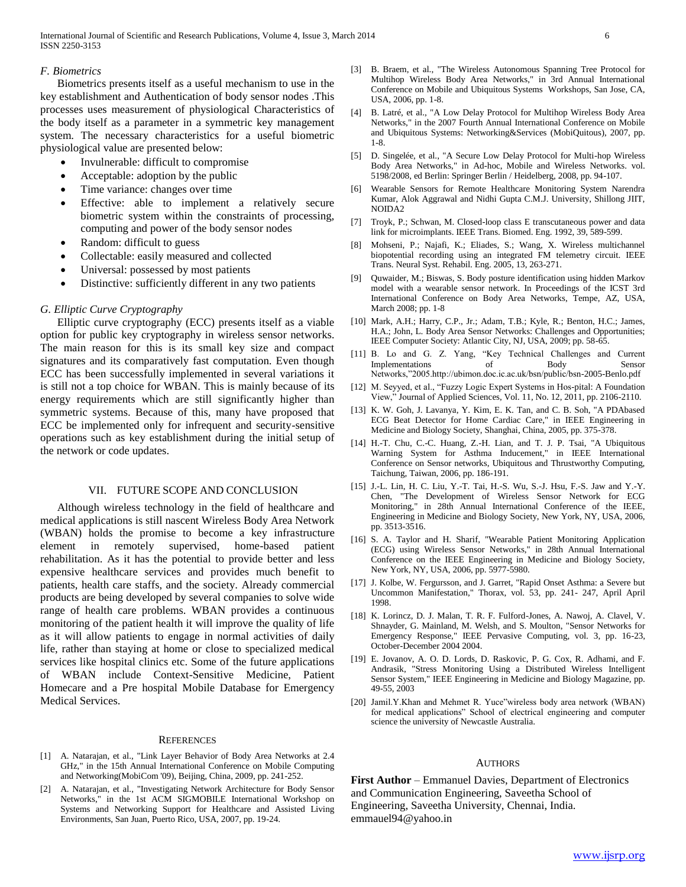International Journal of Scientific and Research Publications, Volume 4, Issue 3, March 2014 6 ISSN 2250-3153

# *F. Biometrics*

 Biometrics presents itself as a useful mechanism to use in the key establishment and Authentication of body sensor nodes .This processes uses measurement of physiological Characteristics of the body itself as a parameter in a symmetric key management system. The necessary characteristics for a useful biometric physiological value are presented below:

- Invulnerable: difficult to compromise
- Acceptable: adoption by the public
- Time variance: changes over time
- Effective: able to implement a relatively secure biometric system within the constraints of processing, computing and power of the body sensor nodes
- Random: difficult to guess
- Collectable: easily measured and collected
- Universal: possessed by most patients
- Distinctive: sufficiently different in any two patients

## *G. Elliptic Curve Cryptography*

 Elliptic curve cryptography (ECC) presents itself as a viable option for public key cryptography in wireless sensor networks. The main reason for this is its small key size and compact signatures and its comparatively fast computation. Even though ECC has been successfully implemented in several variations it is still not a top choice for WBAN. This is mainly because of its energy requirements which are still significantly higher than symmetric systems. Because of this, many have proposed that ECC be implemented only for infrequent and security-sensitive operations such as key establishment during the initial setup of the network or code updates.

## VII. FUTURE SCOPE AND CONCLUSION

 Although wireless technology in the field of healthcare and medical applications is still nascent Wireless Body Area Network (WBAN) holds the promise to become a key infrastructure element in remotely supervised, home-based patient rehabilitation. As it has the potential to provide better and less expensive healthcare services and provides much benefit to patients, health care staffs, and the society. Already commercial products are being developed by several companies to solve wide range of health care problems. WBAN provides a continuous monitoring of the patient health it will improve the quality of life as it will allow patients to engage in normal activities of daily life, rather than staying at home or close to specialized medical services like hospital clinics etc. Some of the future applications of WBAN include Context-Sensitive Medicine, Patient Homecare and a Pre hospital Mobile Database for Emergency Medical Services.

#### **REFERENCES**

- [1] A. Natarajan, et al., "Link Layer Behavior of Body Area Networks at 2.4 GHz," in the 15th Annual International Conference on Mobile Computing and Networking(MobiCom '09), Beijing, China, 2009, pp. 241-252.
- [2] A. Natarajan, et al., "Investigating Network Architecture for Body Sensor Networks," in the 1st ACM SIGMOBILE International Workshop on Systems and Networking Support for Healthcare and Assisted Living Environments, San Juan, Puerto Rico, USA, 2007, pp. 19-24.
- [3] B. Braem, et al., "The Wireless Autonomous Spanning Tree Protocol for Multihop Wireless Body Area Networks," in 3rd Annual International Conference on Mobile and Ubiquitous Systems Workshops, San Jose, CA, USA, 2006, pp. 1-8.
- [4] B. Latré, et al., "A Low Delay Protocol for Multihop Wireless Body Area Networks," in the 2007 Fourth Annual International Conference on Mobile and Ubiquitous Systems: Networking&Services (MobiQuitous), 2007, pp. 1-8.
- [5] D. Singelée, et al., "A Secure Low Delay Protocol for Multi-hop Wireless Body Area Networks," in Ad-hoc, Mobile and Wireless Networks. vol. 5198/2008, ed Berlin: Springer Berlin / Heidelberg, 2008, pp. 94-107.
- [6] Wearable Sensors for Remote Healthcare Monitoring System Narendra Kumar, Alok Aggrawal and Nidhi Gupta C.M.J. University, Shillong JIIT, NOIDA2
- [7] Troyk, P.; Schwan, M. Closed-loop class E transcutaneous power and data link for microimplants. IEEE Trans. Biomed. Eng. 1992, 39, 589-599.
- [8] Mohseni, P.; Najafi, K.; Eliades, S.; Wang, X. Wireless multichannel biopotential recording using an integrated FM telemetry circuit. IEEE Trans. Neural Syst. Rehabil. Eng. 2005, 13, 263-271.
- [9] Quwaider, M.; Biswas, S. Body posture identification using hidden Markov model with a wearable sensor network. In Proceedings of the ICST 3rd International Conference on Body Area Networks, Tempe, AZ, USA, March 2008; pp. 1-8
- [10] Mark, A.H.; Harry, C.P., Jr.; Adam, T.B.; Kyle, R.; Benton, H.C.; James, H.A.; John, L. Body Area Sensor Networks: Challenges and Opportunities; IEEE Computer Society: Atlantic City, NJ, USA, 2009; pp. 58-65.
- [11] B. Lo and G. Z. Yang, "Key Technical Challenges and Current Implementations of Body Sensor Networks,"2005.http://ubimon.doc.ic.ac.uk/bsn/public/bsn-2005-Benlo.pdf
- [12] M. Seyyed, et al., "Fuzzy Logic Expert Systems in Hos-pital: A Foundation View," Journal of Applied Sciences, Vol. 11, No. 12, 2011, pp. 2106-2110.
- [13] K. W. Goh, J. Lavanya, Y. Kim, E. K. Tan, and C. B. Soh, "A PDAbased ECG Beat Detector for Home Cardiac Care," in IEEE Engineering in Medicine and Biology Society, Shanghai, China, 2005, pp. 375-378.
- [14] H.-T. Chu, C.-C. Huang, Z.-H. Lian, and T. J. P. Tsai, "A Ubiquitous Warning System for Asthma Inducement," in IEEE International Conference on Sensor networks, Ubiquitous and Thrustworthy Computing, Taichung, Taiwan, 2006, pp. 186-191.
- [15] J.-L. Lin, H. C. Liu, Y.-T. Tai, H.-S. Wu, S.-J. Hsu, F.-S. Jaw and Y.-Y. Chen, "The Development of Wireless Sensor Network for ECG Monitoring," in 28th Annual International Conference of the IEEE, Engineering in Medicine and Biology Society, New York, NY, USA, 2006, pp. 3513-3516.
- [16] S. A. Taylor and H. Sharif, "Wearable Patient Monitoring Application (ECG) using Wireless Sensor Networks," in 28th Annual International Conference on the IEEE Engineering in Medicine and Biology Society, New York, NY, USA, 2006, pp. 5977-5980.
- [17] J. Kolbe, W. Fergursson, and J. Garret, "Rapid Onset Asthma: a Severe but Uncommon Manifestation," Thorax, vol. 53, pp. 241- 247, April April 1998.
- [18] K. Lorincz, D. J. Malan, T. R. F. Fulford-Jones, A. Nawoj, A. Clavel, V. Shnayder, G. Mainland, M. Welsh, and S. Moulton, "Sensor Networks for Emergency Response," IEEE Pervasive Computing, vol. 3, pp. 16-23, October-December 2004 2004.
- [19] E. Jovanov, A. O. D. Lords, D. Raskovic, P. G. Cox, R. Adhami, and F. Andrasik, "Stress Monitoring Using a Distributed Wireless Intelligent Sensor System," IEEE Engineering in Medicine and Biology Magazine, pp. 49-55, 2003
- [20] Jamil.Y.Khan and Mehmet R. Yuce"wireless body area network (WBAN) for medical applications" School of electrical engineering and computer science the university of Newcastle Australia.

#### **AUTHORS**

**First Author** – Emmanuel Davies, Department of Electronics and Communication Engineering, Saveetha School of Engineering, Saveetha University, Chennai, India. emmauel94@yahoo.in